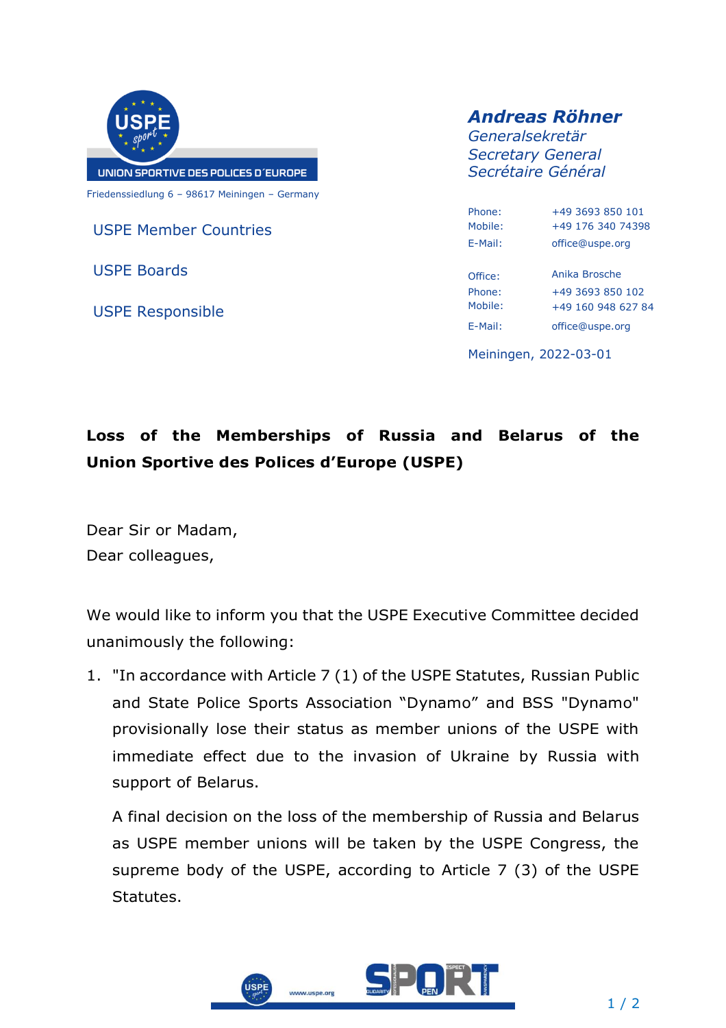

USPE Member Countries

USPE Boards

USPE Responsible

## *Andreas Röhner*

*Generalsekretär Secretary General Secrétaire Général*

| Phone <sup>.</sup> | +49 3693 850 101   |
|--------------------|--------------------|
| Mobile:            | +49 176 340 74398  |
| F-Mail:            | office@uspe.org    |
| Office:            | Anika Brosche      |
| Phone <sup>.</sup> | +49 3693 850 102   |
| Mobile:            | +49 160 948 627 84 |
| F-Mail:            | office@uspe.org    |

Meiningen, 2022-03-01

## **Loss of the Memberships of Russia and Belarus of the Union Sportive des Polices d'Europe (USPE)**

Dear Sir or Madam, Dear colleagues,

We would like to inform you that the USPE Executive Committee decided unanimously the following:

1. "In accordance with Article 7 (1) of the USPE Statutes, Russian Public and State Police Sports Association "Dynamo" and BSS "Dynamo" provisionally lose their status as member unions of the USPE with immediate effect due to the invasion of Ukraine by Russia with support of Belarus.

A final decision on the loss of the membership of Russia and Belarus as USPE member unions will be taken by the USPE Congress, the supreme body of the USPE, according to Article 7 (3) of the USPE Statutes.